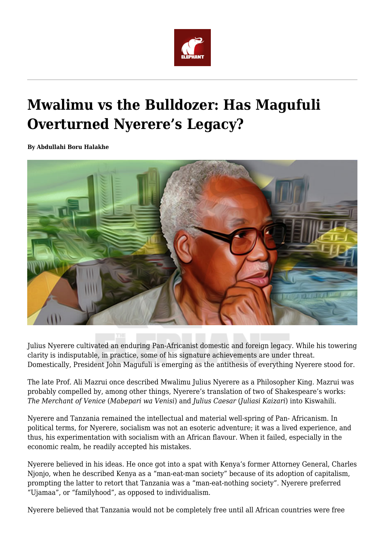

# **Mwalimu vs the Bulldozer: Has Magufuli Overturned Nyerere's Legacy?**

**By Abdullahi Boru Halakhe**



Julius Nyerere cultivated an enduring Pan-Africanist domestic and foreign legacy. While his towering clarity is indisputable, in practice, some of his signature achievements are under threat. Domestically, President John Magufuli is emerging as the antithesis of everything Nyerere stood for.

The late Prof. Ali Mazrui once described Mwalimu Julius Nyerere as a Philosopher King. Mazrui was probably compelled by, among other things, Nyerere's translation of two of Shakespeare's works: *The Merchant of Venice* (*Mabepari wa Venisi*) and *Julius Caesar* (*Juliasi Kaizari*) into Kiswahili.

Nyerere and Tanzania remained the intellectual and material well-spring of Pan- Africanism. In political terms, for Nyerere, socialism was not an esoteric adventure; it was a lived experience, and thus, his experimentation with socialism with an African flavour. When it failed, especially in the economic realm, he readily accepted his mistakes.

Nyerere believed in his ideas. He once got into a spat with Kenya's former Attorney General, Charles Njonjo, when he described Kenya as a "man-eat-man society" because of its adoption of capitalism, prompting the latter to retort that Tanzania was a "man-eat-nothing society". Nyerere preferred "Ujamaa", or "familyhood", as opposed to individualism.

Nyerere believed that Tanzania would not be completely free until all African countries were free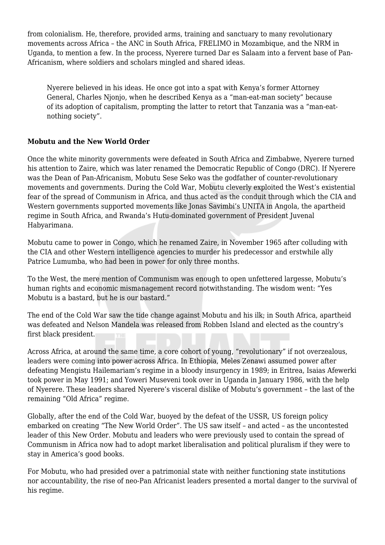from colonialism. He, therefore, provided arms, training and sanctuary to many revolutionary movements across Africa – the ANC in South Africa, FRELIMO in Mozambique, and the NRM in Uganda, to mention a few. In the process, Nyerere turned Dar es Salaam into a fervent base of Pan-Africanism, where soldiers and scholars mingled and shared ideas.

Nyerere believed in his ideas. He once got into a spat with Kenya's former Attorney General, Charles Njonjo, when he described Kenya as a "man-eat-man society" because of its adoption of capitalism, prompting the latter to retort that Tanzania was a "man-eatnothing society".

## **Mobutu and the New World Order**

Once the white minority governments were defeated in South Africa and Zimbabwe, Nyerere turned his attention to Zaire, which was later renamed the Democratic Republic of Congo (DRC). If Nyerere was the Dean of Pan-Africanism, Mobutu Sese Seko was the godfather of counter-revolutionary movements and governments. During the Cold War, Mobutu cleverly exploited the West's existential fear of the spread of Communism in Africa, and thus acted as the conduit through which the CIA and Western governments supported movements like Jonas Savimbi's UNITA in Angola, the apartheid regime in South Africa, and Rwanda's Hutu-dominated government of President Juvenal Habyarimana.

Mobutu came to power in Congo, which he renamed Zaire, in November 1965 after colluding with the CIA and other Western intelligence agencies to murder his predecessor and erstwhile ally Patrice Lumumba, who had been in power for only three months.

To the West, the mere mention of Communism was enough to open unfettered largesse, Mobutu's human rights and economic mismanagement record notwithstanding. The wisdom went: "Yes Mobutu is a bastard, but he is our bastard."

The end of the Cold War saw the tide change against Mobutu and his ilk; in South Africa, apartheid was defeated and Nelson Mandela was released from Robben Island and elected as the country's first black president.

Across Africa, at around the same time, a core cohort of young, "revolutionary" if not overzealous, leaders were coming into power across Africa. In Ethiopia, Meles Zenawi assumed power after defeating Mengistu Hailemariam's regime in a bloody insurgency in 1989; in Eritrea, Isaias Afewerki took power in May 1991; and Yoweri Museveni took over in Uganda in January 1986, with the help of Nyerere. These leaders shared Nyerere's visceral dislike of Mobutu's government – the last of the remaining "Old Africa" regime.

Globally, after the end of the Cold War, buoyed by the defeat of the USSR, US foreign policy embarked on creating "The New World Order". The US saw itself – and acted – as the uncontested leader of this New Order. Mobutu and leaders who were previously used to contain the spread of Communism in Africa now had to adopt market liberalisation and political pluralism if they were to stay in America's good books.

For Mobutu, who had presided over a patrimonial state with neither functioning state institutions nor accountability, the rise of neo-Pan Africanist leaders presented a mortal danger to the survival of his regime.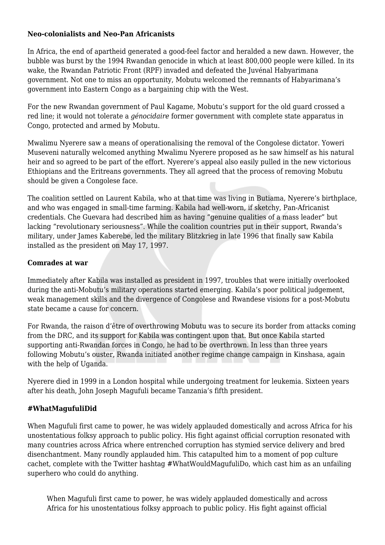#### **Neo-colonialists and Neo-Pan Africanists**

In Africa, the end of apartheid generated a good-feel factor and heralded a new dawn. However, the bubble was burst by the 1994 Rwandan genocide in which at least 800,000 people were killed. In its wake, the Rwandan Patriotic Front (RPF) invaded and defeated the Juvénal Habyarimana government. Not one to miss an opportunity, Mobutu welcomed the remnants of Habyarimana's government into Eastern Congo as a bargaining chip with the West.

For the new Rwandan government of Paul Kagame, Mobutu's support for the old guard crossed a red line; it would not tolerate a *génocidaire* former government with complete state apparatus in Congo, protected and armed by Mobutu.

Mwalimu Nyerere saw a means of operationalising the removal of the Congolese dictator. Yoweri Museveni naturally welcomed anything Mwalimu Nyerere proposed as he saw himself as his natural heir and so agreed to be part of the effort. Nyerere's appeal also easily pulled in the new victorious Ethiopians and the Eritreans governments. They all agreed that the process of removing Mobutu should be given a Congolese face.

The coalition settled on Laurent Kabila, who at that time was living in Butiama, Nyerere's birthplace, and who was engaged in small-time farming. Kabila had well-worn, if sketchy, Pan-Africanist credentials. Che Guevara had described him as having "genuine qualities of a mass leader" but lacking "revolutionary seriousness". While the coalition countries put in their support, Rwanda's military, under James Kaberebe, led the military Blitzkrieg in late 1996 that finally saw Kabila installed as the president on May 17, 1997.

#### **Comrades at war**

Immediately after Kabila was installed as president in 1997, troubles that were initially overlooked during the anti-Mobutu's military operations started emerging. Kabila's poor political judgement, weak management skills and the divergence of Congolese and Rwandese visions for a post-Mobutu state became a cause for concern.

For Rwanda, the raison d'être of overthrowing Mobutu was to secure its border from attacks coming from the DRC, and its support for Kabila was contingent upon that. But once Kabila started supporting anti-Rwandan forces in Congo, he had to be overthrown. In less than three years following Mobutu's ouster, Rwanda initiated another regime change campaign in Kinshasa, again with the help of Uganda.

Nyerere died in 1999 in a London hospital while undergoing treatment for leukemia. Sixteen years after his death, John Joseph Magufuli became Tanzania's fifth president.

### **#WhatMagufuliDid**

When Magufuli first came to power, he was widely applauded domestically and across Africa for his unostentatious folksy approach to public policy. His fight against official corruption resonated with many countries across Africa where entrenched corruption has stymied service delivery and bred disenchantment. Many roundly applauded him. This catapulted him to a moment of pop culture cachet, complete with the Twitter hashtag #WhatWouldMagufuliDo, which cast him as an unfailing superhero who could do anything.

When Magufuli first came to power, he was widely applauded domestically and across Africa for his unostentatious folksy approach to public policy. His fight against official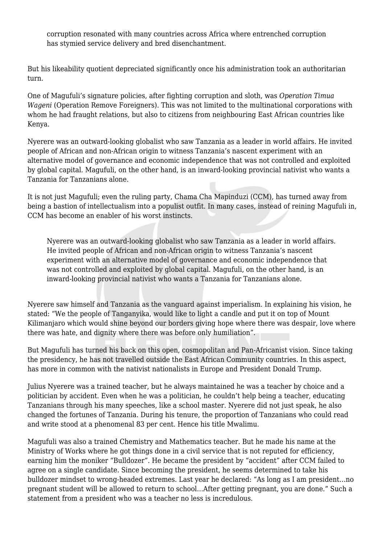corruption resonated with many countries across Africa where entrenched corruption has stymied service delivery and bred disenchantment.

But his likeability quotient depreciated significantly once his administration took an authoritarian turn.

One of Magufuli's signature policies, after fighting corruption and sloth, was *Operation Timua Wageni* (Operation Remove Foreigners). This was not limited to the multinational corporations with whom he had fraught relations, but also to citizens from neighbouring East African countries like Kenya.

Nyerere was an outward-looking globalist who saw Tanzania as a leader in world affairs. He invited people of African and non-African origin to witness Tanzania's nascent experiment with an alternative model of governance and economic independence that was not controlled and exploited by global capital. Magufuli, on the other hand, is an inward-looking provincial nativist who wants a Tanzania for Tanzanians alone.

It is not just Magufuli; even the ruling party, Chama Cha Mapinduzi (CCM), has turned away from being a bastion of intellectualism into a populist outfit. In many cases, instead of reining Magufuli in, CCM has become an enabler of his worst instincts.

Nyerere was an outward-looking globalist who saw Tanzania as a leader in world affairs. He invited people of African and non-African origin to witness Tanzania's nascent experiment with an alternative model of governance and economic independence that was not controlled and exploited by global capital. Magufuli, on the other hand, is an inward-looking provincial nativist who wants a Tanzania for Tanzanians alone.

Nyerere saw himself and Tanzania as the vanguard against imperialism. In explaining his vision, he stated: "We the people of Tanganyika, would like to light a candle and put it on top of Mount Kilimanjaro which would shine beyond our borders giving hope where there was despair, love where there was hate, and dignity where there was before only humiliation".

But Magufuli has turned his back on this open, cosmopolitan and Pan-Africanist vision. Since taking the presidency, he has not travelled outside the East African Community countries. In this aspect, has more in common with the nativist nationalists in Europe and President Donald Trump.

Julius Nyerere was a trained teacher, but he always maintained he was a teacher by choice and a politician by accident. Even when he was a politician, he couldn't help being a teacher, educating Tanzanians through his many speeches, like a school master. Nyerere did not just speak, he also changed the fortunes of Tanzania. During his tenure, the proportion of Tanzanians who could read and write stood at a phenomenal 83 per cent. Hence his title Mwalimu.

Magufuli was also a trained Chemistry and Mathematics teacher. But he made his name at the Ministry of Works where he got things done in a civil service that is not reputed for efficiency, earning him the moniker "Bulldozer". He became the president by "accident" after CCM failed to agree on a single candidate. Since becoming the president, he seems determined to take his bulldozer mindset to wrong-headed extremes. Last year he declared: "As long as I am president…no pregnant student will be allowed to return to school…After getting pregnant, you are done." Such a statement from a president who was a teacher no less is incredulous.